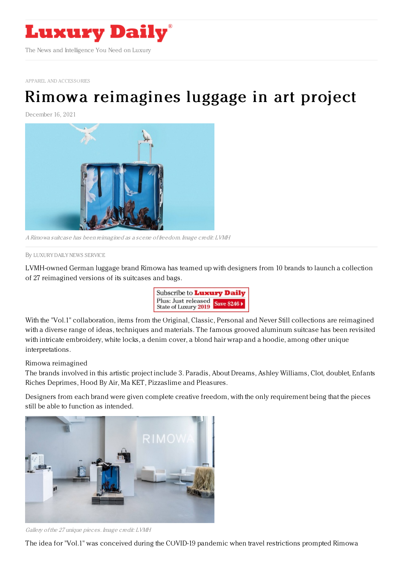

APPAREL AND [ACCESSORIES](https://www.luxurydaily.com/category/sectors/apparel-and-accessories/)

## Rimowa [reimagines](https://www.luxurydaily.com/rimowa-reimagines-luggage-in-art-project/) luggage in art project

December 16, 2021



A Rimowa suitcase has been reimagined as <sup>a</sup> scene of freedom. Image credit: LVMH

By LUXURY DAILY NEWS [SERVICE](file:///author/luxury-daily-news-service)

LVMH-owned German luggage brand Rimowa has teamed up with designers from 10 brands to launch a collection of 27 reimagined versions of its suitcases and bags.



With the "Vol.1" collaboration, items from the Original, Classic, Personal and Never Still collections are reimagined with a diverse range of ideas, techniques and materials. The famous grooved aluminum suitcase has been revisited with intricate embroidery, white locks, a denim cover, a blond hair wrap and a hoodie, among other unique interpretations.

## Rimowa reimagined

The brands involved in this artistic project include 3. Paradis, About Dreams, Ashley Williams, Clot, doublet, Enfants Riches Deprimes, Hood By Air, Ma KET, Pizzaslime and Pleasures.

Designers from each brand were given complete creative freedom, with the only requirement being that the pieces still be able to function as intended.



Gallery of the 27 unique pieces. Image credit: LVMH

The idea for "Vol.1" was conceived during the COVID-19 pandemic when travel restrictions prompted Rimowa